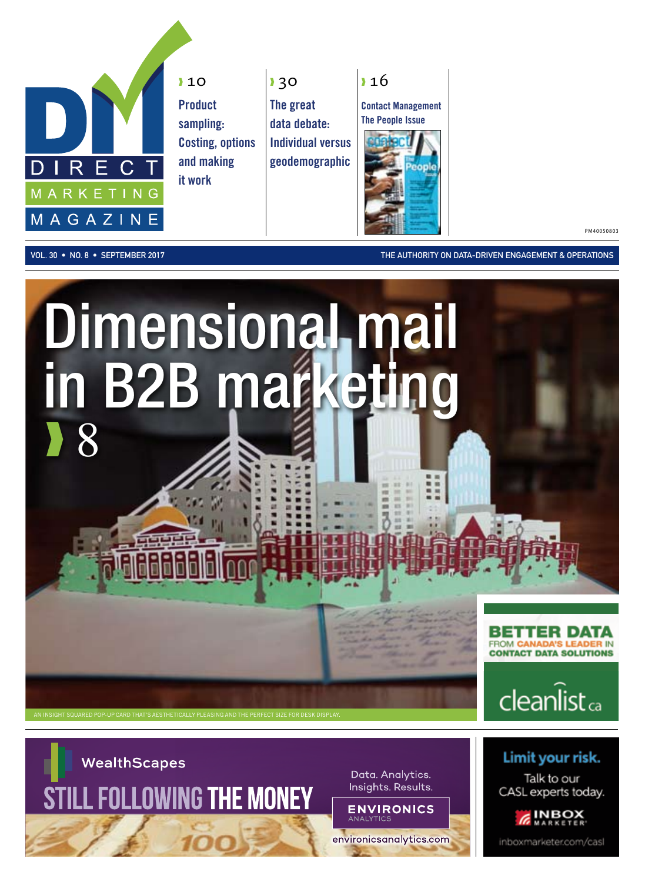

**10 Product** sampling: Costing, options and making it work

❱ 30 The great data debate: Individual versus geodemographic

**16** Contact Management



PM40050803

vol. 30 • No. 8 • September 2017 The Authority on Data-Driven Engagement & Operations





Limit your risk.

Talk to our

CASL experts today.

inboxmarketer.com/casl

**INBOX** 



Data. Analytics. Insights. Results.

**ENVIRONICS** environicsanalytics.com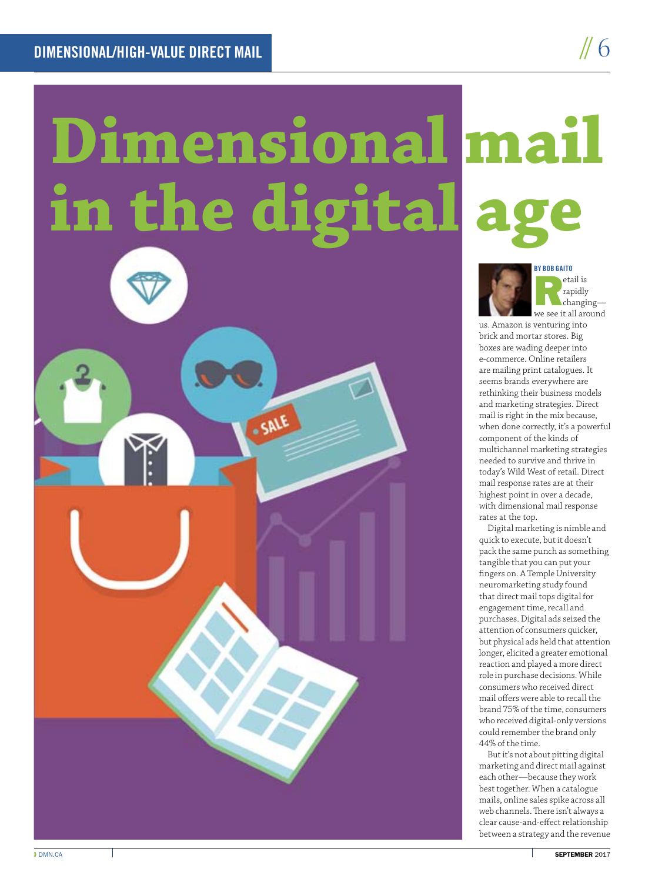## **Dimensional mail**  in the digital a



etail is<br>
rapidly<br>
rue soa it all around rapidly we see it all around

// 6

us. Amazon is venturing into brick and mortar stores. Big boxes are wading deeper into e-commerce. Online retailers are mailing print catalogues. It seems brands everywhere are rethinking their business models and marketing strategies. Direct mail is right in the mix because, when done correctly, it's a powerful component of the kinds of multichannel marketing strategies needed to survive and thrive in today's Wild West of retail. Direct mail response rates are at their highest point in over a decade, with dimensional mail response rates at the top.

Digital marketing is nimble and quick to execute, but it doesn't pack the same punch as something tangible that you can put your fingers on. A Temple University neuromarketing study found that direct mail tops digital for engagement time, recall and purchases. Digital ads seized the attention of consumers quicker, but physical ads held that attention longer, elicited a greater emotional reaction and played a more direct role in purchase decisions. While consumers who received direct mail offers were able to recall the brand 75% of the time, consumers who received digital-only versions could remember the brand only 44% of the time.

But it's not about pitting digital marketing and direct mail against each other—because they work best together. When a catalogue mails, online sales spike across all web channels. There isn't always a clear cause-and-effect relationship between a strategy and the revenue